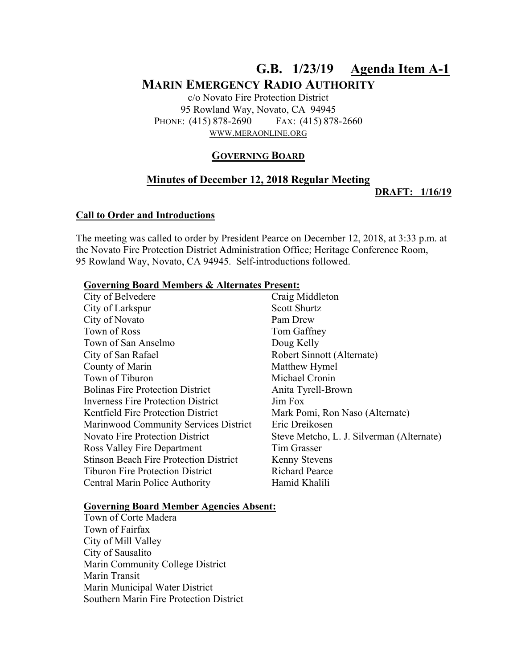# **G.B. 1/23/19 Agenda Item A-1 MARIN EMERGENCY RADIO AUTHORITY**

c/o Novato Fire Protection District 95 Rowland Way, Novato, CA 94945 PHONE: (415) 878-2690 FAX: (415) 878-2660 WWW.MERAONLINE.ORG

### **GOVERNING BOARD**

## **Minutes of December 12, 2018 Regular Meeting**

**DRAFT: 1/16/19** 

#### **Call to Order and Introductions**

The meeting was called to order by President Pearce on December 12, 2018, at 3:33 p.m. at the Novato Fire Protection District Administration Office; Heritage Conference Room, 95 Rowland Way, Novato, CA 94945. Self-introductions followed.

#### **Governing Board Members & Alternates Present:**

| City of Belvedere                             | Craig Middleton                           |
|-----------------------------------------------|-------------------------------------------|
| City of Larkspur                              | Scott Shurtz                              |
| City of Novato                                | Pam Drew                                  |
| Town of Ross                                  | Tom Gaffney                               |
| Town of San Anselmo                           | Doug Kelly                                |
| City of San Rafael                            | Robert Sinnott (Alternate)                |
| County of Marin                               | Matthew Hymel                             |
| Town of Tiburon                               | Michael Cronin                            |
| <b>Bolinas Fire Protection District</b>       | Anita Tyrell-Brown                        |
| <b>Inverness Fire Protection District</b>     | Jim Fox                                   |
| <b>Kentfield Fire Protection District</b>     | Mark Pomi, Ron Naso (Alternate)           |
| Marinwood Community Services District         | Eric Dreikosen                            |
| <b>Novato Fire Protection District</b>        | Steve Metcho, L. J. Silverman (Alternate) |
| <b>Ross Valley Fire Department</b>            | Tim Grasser                               |
| <b>Stinson Beach Fire Protection District</b> | <b>Kenny Stevens</b>                      |
| <b>Tiburon Fire Protection District</b>       | <b>Richard Pearce</b>                     |
| Central Marin Police Authority                | Hamid Khalili                             |

#### **Governing Board Member Agencies Absent:**

Town of Corte Madera Town of Fairfax City of Mill Valley City of Sausalito Marin Community College District Marin Transit Marin Municipal Water District Southern Marin Fire Protection District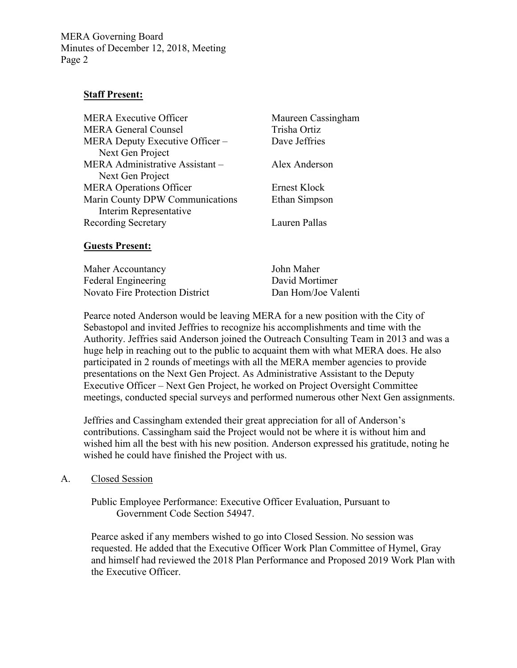#### **Staff Present:**

| <b>MERA Executive Officer</b>   | Maureen Cassingham |
|---------------------------------|--------------------|
| <b>MERA General Counsel</b>     | Trisha Ortiz       |
| MERA Deputy Executive Officer – | Dave Jeffries      |
| Next Gen Project                |                    |
| MERA Administrative Assistant - | Alex Anderson      |
| Next Gen Project                |                    |
| <b>MERA Operations Officer</b>  | Ernest Klock       |
| Marin County DPW Communications | Ethan Simpson      |
| Interim Representative          |                    |
| <b>Recording Secretary</b>      | Lauren Pallas      |
|                                 |                    |

#### **Guests Present:**

| Maher Accountancy                      | John Maher          |
|----------------------------------------|---------------------|
| Federal Engineering                    | David Mortimer      |
| <b>Novato Fire Protection District</b> | Dan Hom/Joe Valenti |

Pearce noted Anderson would be leaving MERA for a new position with the City of Sebastopol and invited Jeffries to recognize his accomplishments and time with the Authority. Jeffries said Anderson joined the Outreach Consulting Team in 2013 and was a huge help in reaching out to the public to acquaint them with what MERA does. He also participated in 2 rounds of meetings with all the MERA member agencies to provide presentations on the Next Gen Project. As Administrative Assistant to the Deputy Executive Officer – Next Gen Project, he worked on Project Oversight Committee meetings, conducted special surveys and performed numerous other Next Gen assignments.

Jeffries and Cassingham extended their great appreciation for all of Anderson's contributions. Cassingham said the Project would not be where it is without him and wished him all the best with his new position. Anderson expressed his gratitude, noting he wished he could have finished the Project with us.

#### A. Closed Session

Public Employee Performance: Executive Officer Evaluation, Pursuant to Government Code Section 54947.

Pearce asked if any members wished to go into Closed Session. No session was requested. He added that the Executive Officer Work Plan Committee of Hymel, Gray and himself had reviewed the 2018 Plan Performance and Proposed 2019 Work Plan with the Executive Officer.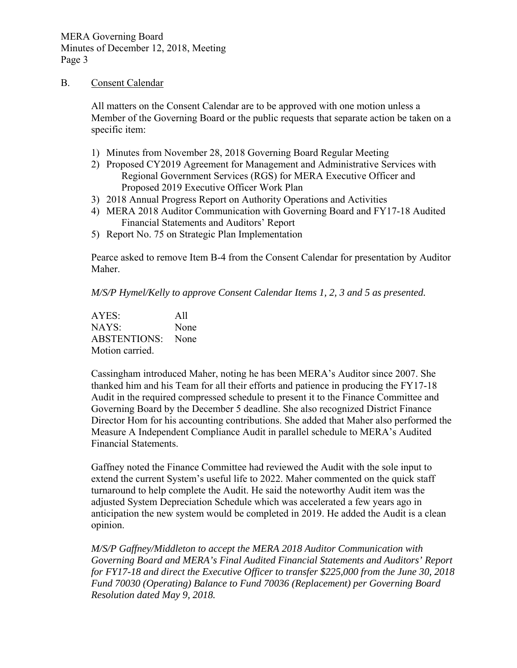#### B. Consent Calendar

All matters on the Consent Calendar are to be approved with one motion unless a Member of the Governing Board or the public requests that separate action be taken on a specific item:

- 1) Minutes from November 28, 2018 Governing Board Regular Meeting
- 2) Proposed CY2019 Agreement for Management and Administrative Services with Regional Government Services (RGS) for MERA Executive Officer and Proposed 2019 Executive Officer Work Plan
- 3) 2018 Annual Progress Report on Authority Operations and Activities
- 4) MERA 2018 Auditor Communication with Governing Board and FY17-18 Audited Financial Statements and Auditors' Report
- 5) Report No. 75 on Strategic Plan Implementation

Pearce asked to remove Item B-4 from the Consent Calendar for presentation by Auditor Maher.

*M/S/P Hymel/Kelly to approve Consent Calendar Items 1, 2, 3 and 5 as presented.* 

AYES: All NAYS: None ABSTENTIONS: None Motion carried.

Cassingham introduced Maher, noting he has been MERA's Auditor since 2007. She thanked him and his Team for all their efforts and patience in producing the FY17-18 Audit in the required compressed schedule to present it to the Finance Committee and Governing Board by the December 5 deadline. She also recognized District Finance Director Hom for his accounting contributions. She added that Maher also performed the Measure A Independent Compliance Audit in parallel schedule to MERA's Audited Financial Statements.

Gaffney noted the Finance Committee had reviewed the Audit with the sole input to extend the current System's useful life to 2022. Maher commented on the quick staff turnaround to help complete the Audit. He said the noteworthy Audit item was the adjusted System Depreciation Schedule which was accelerated a few years ago in anticipation the new system would be completed in 2019. He added the Audit is a clean opinion.

*M/S/P Gaffney/Middleton to accept the MERA 2018 Auditor Communication with Governing Board and MERA's Final Audited Financial Statements and Auditors' Report for FY17-18 and direct the Executive Officer to transfer \$225,000 from the June 30, 2018 Fund 70030 (Operating) Balance to Fund 70036 (Replacement) per Governing Board Resolution dated May 9, 2018.*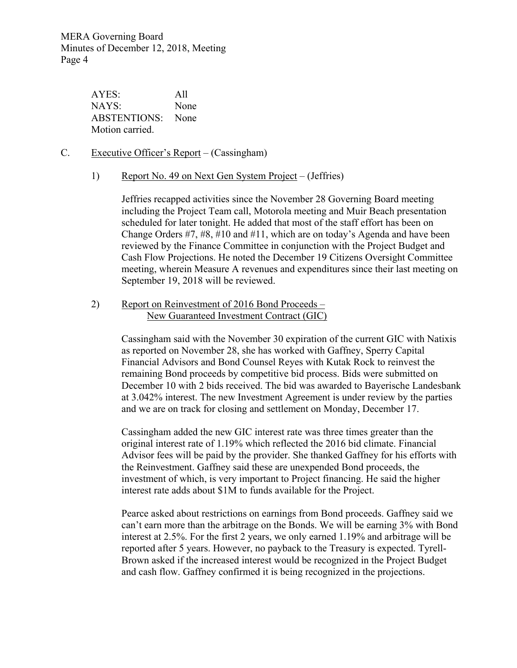> AYES: All NAYS: None ABSTENTIONS: None Motion carried.

- C. Executive Officer's Report (Cassingham)
	- 1) Report No. 49 on Next Gen System Project (Jeffries)

Jeffries recapped activities since the November 28 Governing Board meeting including the Project Team call, Motorola meeting and Muir Beach presentation scheduled for later tonight. He added that most of the staff effort has been on Change Orders #7, #8, #10 and #11, which are on today's Agenda and have been reviewed by the Finance Committee in conjunction with the Project Budget and Cash Flow Projections. He noted the December 19 Citizens Oversight Committee meeting, wherein Measure A revenues and expenditures since their last meeting on September 19, 2018 will be reviewed.

2) Report on Reinvestment of 2016 Bond Proceeds – New Guaranteed Investment Contract (GIC)

> Cassingham said with the November 30 expiration of the current GIC with Natixis as reported on November 28, she has worked with Gaffney, Sperry Capital Financial Advisors and Bond Counsel Reyes with Kutak Rock to reinvest the remaining Bond proceeds by competitive bid process. Bids were submitted on December 10 with 2 bids received. The bid was awarded to Bayerische Landesbank at 3.042% interest. The new Investment Agreement is under review by the parties and we are on track for closing and settlement on Monday, December 17.

Cassingham added the new GIC interest rate was three times greater than the original interest rate of 1.19% which reflected the 2016 bid climate. Financial Advisor fees will be paid by the provider. She thanked Gaffney for his efforts with the Reinvestment. Gaffney said these are unexpended Bond proceeds, the investment of which, is very important to Project financing. He said the higher interest rate adds about \$1M to funds available for the Project.

Pearce asked about restrictions on earnings from Bond proceeds. Gaffney said we can't earn more than the arbitrage on the Bonds. We will be earning 3% with Bond interest at 2.5%. For the first 2 years, we only earned 1.19% and arbitrage will be reported after 5 years. However, no payback to the Treasury is expected. Tyrell-Brown asked if the increased interest would be recognized in the Project Budget and cash flow. Gaffney confirmed it is being recognized in the projections.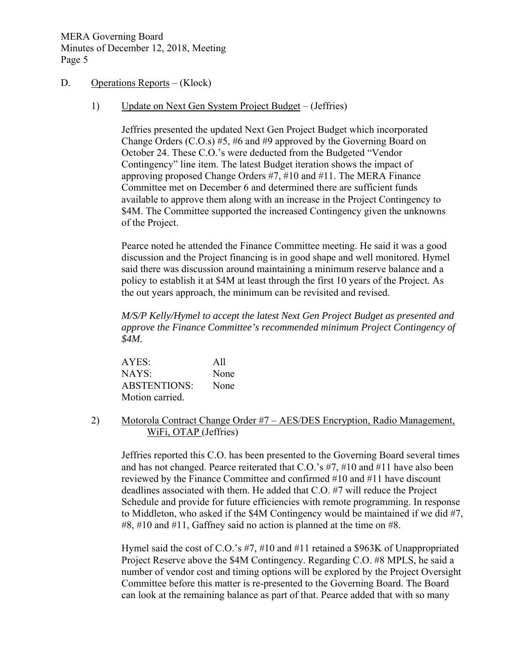#### D. Operations Reports – (Klock)

1) Update on Next Gen System Project Budget – (Jeffries)

Jeffries presented the updated Next Gen Project Budget which incorporated Change Orders (C.O.s) #5, #6 and #9 approved by the Governing Board on October 24. These C.O.'s were deducted from the Budgeted "Vendor Contingency" line item. The latest Budget iteration shows the impact of approving proposed Change Orders #7, #10 and #11. The MERA Finance Committee met on December 6 and determined there are sufficient funds available to approve them along with an increase in the Project Contingency to \$4M. The Committee supported the increased Contingency given the unknowns of the Project.

Pearce noted he attended the Finance Committee meeting. He said it was a good discussion and the Project financing is in good shape and well monitored. Hymel said there was discussion around maintaining a minimum reserve balance and a policy to establish it at \$4M at least through the first 10 years of the Project. As the out years approach, the minimum can be revisited and revised.

*M/S/P Kelly/Hymel to accept the latest Next Gen Project Budget as presented and approve the Finance Committee's recommended minimum Project Contingency of \$4M.* 

| AYES:               | All  |
|---------------------|------|
| NAYS:               | None |
| <b>ABSTENTIONS:</b> | None |
| Motion carried.     |      |

2) Motorola Contract Change Order #7 – AES/DES Encryption, Radio Management, WiFi, OTAP (Jeffries)

Jeffries reported this C.O. has been presented to the Governing Board several times and has not changed. Pearce reiterated that C.O.'s #7, #10 and #11 have also been reviewed by the Finance Committee and confirmed #10 and #11 have discount deadlines associated with them. He added that C.O. #7 will reduce the Project Schedule and provide for future efficiencies with remote programming. In response to Middleton, who asked if the \$4M Contingency would be maintained if we did #7, #8, #10 and #11, Gaffney said no action is planned at the time on #8.

Hymel said the cost of C.O.'s #7, #10 and #11 retained a \$963K of Unappropriated Project Reserve above the \$4M Contingency. Regarding C.O. #8 MPLS, he said a number of vendor cost and timing options will be explored by the Project Oversight Committee before this matter is re-presented to the Governing Board. The Board can look at the remaining balance as part of that. Pearce added that with so many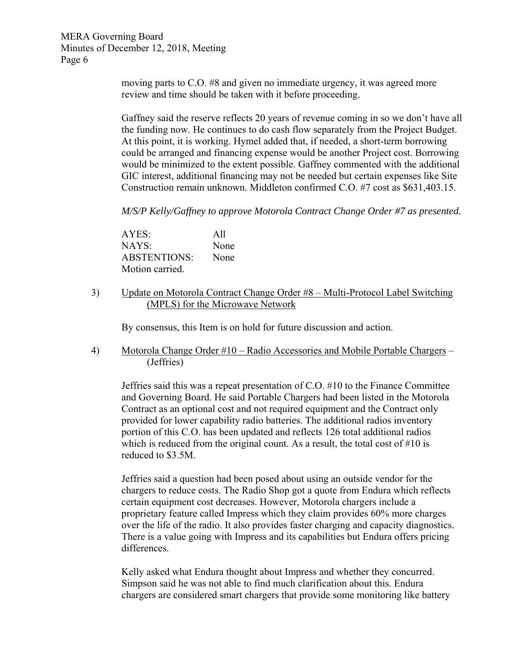> moving parts to C.O. #8 and given no immediate urgency, it was agreed more review and time should be taken with it before proceeding.

Gaffney said the reserve reflects 20 years of revenue coming in so we don't have all the funding now. He continues to do cash flow separately from the Project Budget. At this point, it is working. Hymel added that, if needed, a short-term borrowing could be arranged and financing expense would be another Project cost. Borrowing would be minimized to the extent possible. Gaffney commented with the additional GIC interest, additional financing may not be needed but certain expenses like Site Construction remain unknown. Middleton confirmed C.O. #7 cost as \$631,403.15.

*M/S/P Kelly/Gaffney to approve Motorola Contract Change Order #7 as presented.* 

AYES: All NAYS: None ABSTENTIONS: None Motion carried.

3) Update on Motorola Contract Change Order #8 – Multi-Protocol Label Switching (MPLS) for the Microwave Network

By consensus, this Item is on hold for future discussion and action.

4) Motorola Change Order #10 – Radio Accessories and Mobile Portable Chargers – (Jeffries)

Jeffries said this was a repeat presentation of C.O. #10 to the Finance Committee and Governing Board. He said Portable Chargers had been listed in the Motorola Contract as an optional cost and not required equipment and the Contract only provided for lower capability radio batteries. The additional radios inventory portion of this C.O. has been updated and reflects 126 total additional radios which is reduced from the original count. As a result, the total cost of #10 is reduced to \$3.5M.

Jeffries said a question had been posed about using an outside vendor for the chargers to reduce costs. The Radio Shop got a quote from Endura which reflects certain equipment cost decreases. However, Motorola chargers include a proprietary feature called Impress which they claim provides 60% more charges over the life of the radio. It also provides faster charging and capacity diagnostics. There is a value going with Impress and its capabilities but Endura offers pricing differences.

Kelly asked what Endura thought about Impress and whether they concurred. Simpson said he was not able to find much clarification about this. Endura chargers are considered smart chargers that provide some monitoring like battery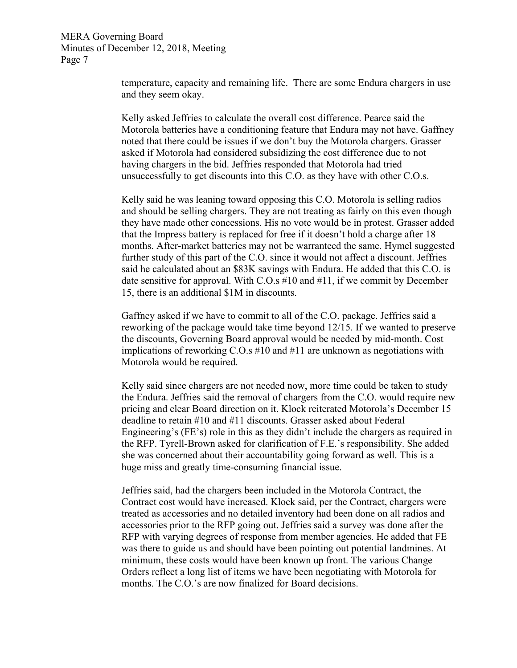> temperature, capacity and remaining life. There are some Endura chargers in use and they seem okay.

> Kelly asked Jeffries to calculate the overall cost difference. Pearce said the Motorola batteries have a conditioning feature that Endura may not have. Gaffney noted that there could be issues if we don't buy the Motorola chargers. Grasser asked if Motorola had considered subsidizing the cost difference due to not having chargers in the bid. Jeffries responded that Motorola had tried unsuccessfully to get discounts into this C.O. as they have with other C.O.s.

> Kelly said he was leaning toward opposing this C.O. Motorola is selling radios and should be selling chargers. They are not treating as fairly on this even though they have made other concessions. His no vote would be in protest. Grasser added that the Impress battery is replaced for free if it doesn't hold a charge after 18 months. After-market batteries may not be warranteed the same. Hymel suggested further study of this part of the C.O. since it would not affect a discount. Jeffries said he calculated about an \$83K savings with Endura. He added that this C.O. is date sensitive for approval. With C.O.s #10 and #11, if we commit by December 15, there is an additional \$1M in discounts.

> Gaffney asked if we have to commit to all of the C.O. package. Jeffries said a reworking of the package would take time beyond 12/15. If we wanted to preserve the discounts, Governing Board approval would be needed by mid-month. Cost implications of reworking C.O.s #10 and #11 are unknown as negotiations with Motorola would be required.

> Kelly said since chargers are not needed now, more time could be taken to study the Endura. Jeffries said the removal of chargers from the C.O. would require new pricing and clear Board direction on it. Klock reiterated Motorola's December 15 deadline to retain #10 and #11 discounts. Grasser asked about Federal Engineering's (FE's) role in this as they didn't include the chargers as required in the RFP. Tyrell-Brown asked for clarification of F.E.'s responsibility. She added she was concerned about their accountability going forward as well. This is a huge miss and greatly time-consuming financial issue.

Jeffries said, had the chargers been included in the Motorola Contract, the Contract cost would have increased. Klock said, per the Contract, chargers were treated as accessories and no detailed inventory had been done on all radios and accessories prior to the RFP going out. Jeffries said a survey was done after the RFP with varying degrees of response from member agencies. He added that FE was there to guide us and should have been pointing out potential landmines. At minimum, these costs would have been known up front. The various Change Orders reflect a long list of items we have been negotiating with Motorola for months. The C.O.'s are now finalized for Board decisions.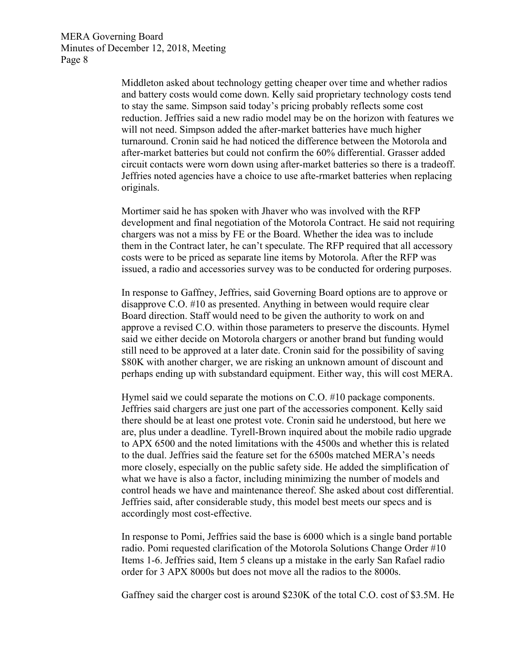> Middleton asked about technology getting cheaper over time and whether radios and battery costs would come down. Kelly said proprietary technology costs tend to stay the same. Simpson said today's pricing probably reflects some cost reduction. Jeffries said a new radio model may be on the horizon with features we will not need. Simpson added the after-market batteries have much higher turnaround. Cronin said he had noticed the difference between the Motorola and after-market batteries but could not confirm the 60% differential. Grasser added circuit contacts were worn down using after-market batteries so there is a tradeoff. Jeffries noted agencies have a choice to use afte-rmarket batteries when replacing originals.

> Mortimer said he has spoken with Jhaver who was involved with the RFP development and final negotiation of the Motorola Contract. He said not requiring chargers was not a miss by FE or the Board. Whether the idea was to include them in the Contract later, he can't speculate. The RFP required that all accessory costs were to be priced as separate line items by Motorola. After the RFP was issued, a radio and accessories survey was to be conducted for ordering purposes.

> In response to Gaffney, Jeffries, said Governing Board options are to approve or disapprove C.O. #10 as presented. Anything in between would require clear Board direction. Staff would need to be given the authority to work on and approve a revised C.O. within those parameters to preserve the discounts. Hymel said we either decide on Motorola chargers or another brand but funding would still need to be approved at a later date. Cronin said for the possibility of saving \$80K with another charger, we are risking an unknown amount of discount and perhaps ending up with substandard equipment. Either way, this will cost MERA.

> Hymel said we could separate the motions on C.O. #10 package components. Jeffries said chargers are just one part of the accessories component. Kelly said there should be at least one protest vote. Cronin said he understood, but here we are, plus under a deadline. Tyrell-Brown inquired about the mobile radio upgrade to APX 6500 and the noted limitations with the 4500s and whether this is related to the dual. Jeffries said the feature set for the 6500s matched MERA's needs more closely, especially on the public safety side. He added the simplification of what we have is also a factor, including minimizing the number of models and control heads we have and maintenance thereof. She asked about cost differential. Jeffries said, after considerable study, this model best meets our specs and is accordingly most cost-effective.

> In response to Pomi, Jeffries said the base is 6000 which is a single band portable radio. Pomi requested clarification of the Motorola Solutions Change Order #10 Items 1-6. Jeffries said, Item 5 cleans up a mistake in the early San Rafael radio order for 3 APX 8000s but does not move all the radios to the 8000s.

> Gaffney said the charger cost is around \$230K of the total C.O. cost of \$3.5M. He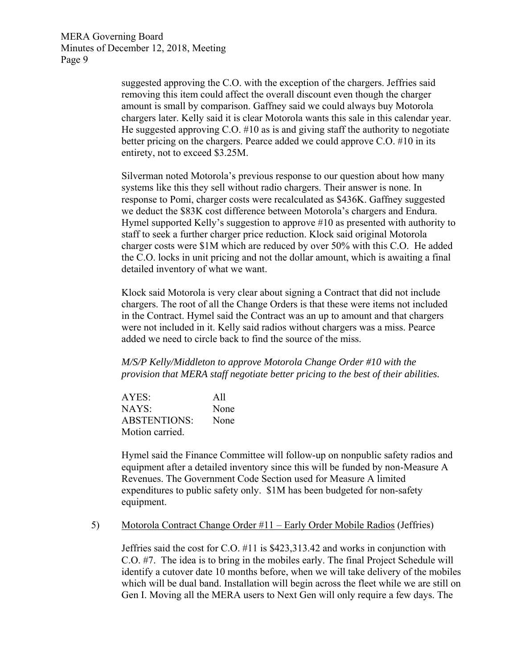> suggested approving the C.O. with the exception of the chargers. Jeffries said removing this item could affect the overall discount even though the charger amount is small by comparison. Gaffney said we could always buy Motorola chargers later. Kelly said it is clear Motorola wants this sale in this calendar year. He suggested approving C.O. #10 as is and giving staff the authority to negotiate better pricing on the chargers. Pearce added we could approve C.O. #10 in its entirety, not to exceed \$3.25M.

Silverman noted Motorola's previous response to our question about how many systems like this they sell without radio chargers. Their answer is none. In response to Pomi, charger costs were recalculated as \$436K. Gaffney suggested we deduct the \$83K cost difference between Motorola's chargers and Endura. Hymel supported Kelly's suggestion to approve #10 as presented with authority to staff to seek a further charger price reduction. Klock said original Motorola charger costs were \$1M which are reduced by over 50% with this C.O. He added the C.O. locks in unit pricing and not the dollar amount, which is awaiting a final detailed inventory of what we want.

Klock said Motorola is very clear about signing a Contract that did not include chargers. The root of all the Change Orders is that these were items not included in the Contract. Hymel said the Contract was an up to amount and that chargers were not included in it. Kelly said radios without chargers was a miss. Pearce added we need to circle back to find the source of the miss.

*M/S/P Kelly/Middleton to approve Motorola Change Order #10 with the provision that MERA staff negotiate better pricing to the best of their abilities.* 

AYES: All NAYS: None ABSTENTIONS: None Motion carried.

Hymel said the Finance Committee will follow-up on nonpublic safety radios and equipment after a detailed inventory since this will be funded by non-Measure A Revenues. The Government Code Section used for Measure A limited expenditures to public safety only. \$1M has been budgeted for non-safety equipment.

#### 5) Motorola Contract Change Order #11 – Early Order Mobile Radios (Jeffries)

Jeffries said the cost for C.O. #11 is \$423,313.42 and works in conjunction with C.O. #7. The idea is to bring in the mobiles early. The final Project Schedule will identify a cutover date 10 months before, when we will take delivery of the mobiles which will be dual band. Installation will begin across the fleet while we are still on Gen I. Moving all the MERA users to Next Gen will only require a few days. The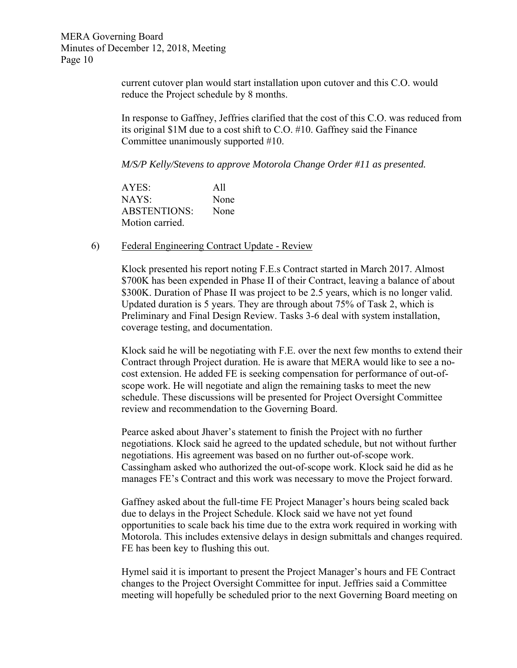> current cutover plan would start installation upon cutover and this C.O. would reduce the Project schedule by 8 months.

In response to Gaffney, Jeffries clarified that the cost of this C.O. was reduced from its original \$1M due to a cost shift to C.O. #10. Gaffney said the Finance Committee unanimously supported #10.

*M/S/P Kelly/Stevens to approve Motorola Change Order #11 as presented.* 

AYES: All NAYS: None ABSTENTIONS: None Motion carried.

#### 6) Federal Engineering Contract Update - Review

Klock presented his report noting F.E.s Contract started in March 2017. Almost \$700K has been expended in Phase II of their Contract, leaving a balance of about \$300K. Duration of Phase II was project to be 2.5 years, which is no longer valid. Updated duration is 5 years. They are through about 75% of Task 2, which is Preliminary and Final Design Review. Tasks 3-6 deal with system installation, coverage testing, and documentation.

Klock said he will be negotiating with F.E. over the next few months to extend their Contract through Project duration. He is aware that MERA would like to see a nocost extension. He added FE is seeking compensation for performance of out-ofscope work. He will negotiate and align the remaining tasks to meet the new schedule. These discussions will be presented for Project Oversight Committee review and recommendation to the Governing Board.

Pearce asked about Jhaver's statement to finish the Project with no further negotiations. Klock said he agreed to the updated schedule, but not without further negotiations. His agreement was based on no further out-of-scope work. Cassingham asked who authorized the out-of-scope work. Klock said he did as he manages FE's Contract and this work was necessary to move the Project forward.

Gaffney asked about the full-time FE Project Manager's hours being scaled back due to delays in the Project Schedule. Klock said we have not yet found opportunities to scale back his time due to the extra work required in working with Motorola. This includes extensive delays in design submittals and changes required. FE has been key to flushing this out.

Hymel said it is important to present the Project Manager's hours and FE Contract changes to the Project Oversight Committee for input. Jeffries said a Committee meeting will hopefully be scheduled prior to the next Governing Board meeting on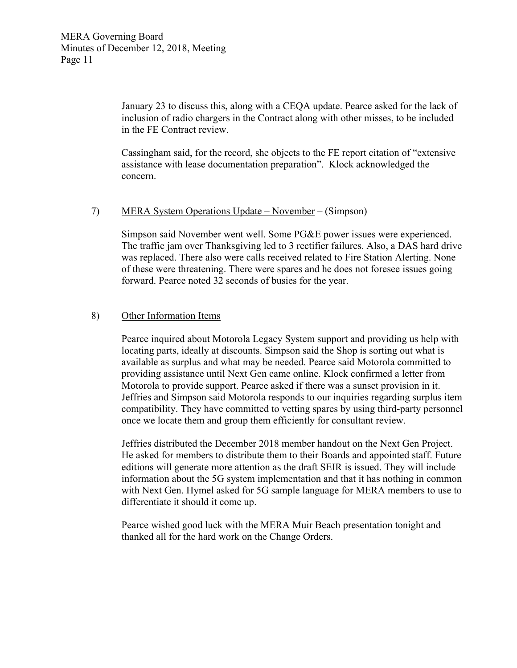January 23 to discuss this, along with a CEQA update. Pearce asked for the lack of inclusion of radio chargers in the Contract along with other misses, to be included in the FE Contract review.

Cassingham said, for the record, she objects to the FE report citation of "extensive assistance with lease documentation preparation". Klock acknowledged the concern.

#### 7) MERA System Operations Update – November – (Simpson)

Simpson said November went well. Some PG&E power issues were experienced. The traffic jam over Thanksgiving led to 3 rectifier failures. Also, a DAS hard drive was replaced. There also were calls received related to Fire Station Alerting. None of these were threatening. There were spares and he does not foresee issues going forward. Pearce noted 32 seconds of busies for the year.

#### 8) Other Information Items

Pearce inquired about Motorola Legacy System support and providing us help with locating parts, ideally at discounts. Simpson said the Shop is sorting out what is available as surplus and what may be needed. Pearce said Motorola committed to providing assistance until Next Gen came online. Klock confirmed a letter from Motorola to provide support. Pearce asked if there was a sunset provision in it. Jeffries and Simpson said Motorola responds to our inquiries regarding surplus item compatibility. They have committed to vetting spares by using third-party personnel once we locate them and group them efficiently for consultant review.

Jeffries distributed the December 2018 member handout on the Next Gen Project. He asked for members to distribute them to their Boards and appointed staff. Future editions will generate more attention as the draft SEIR is issued. They will include information about the 5G system implementation and that it has nothing in common with Next Gen. Hymel asked for 5G sample language for MERA members to use to differentiate it should it come up.

Pearce wished good luck with the MERA Muir Beach presentation tonight and thanked all for the hard work on the Change Orders.